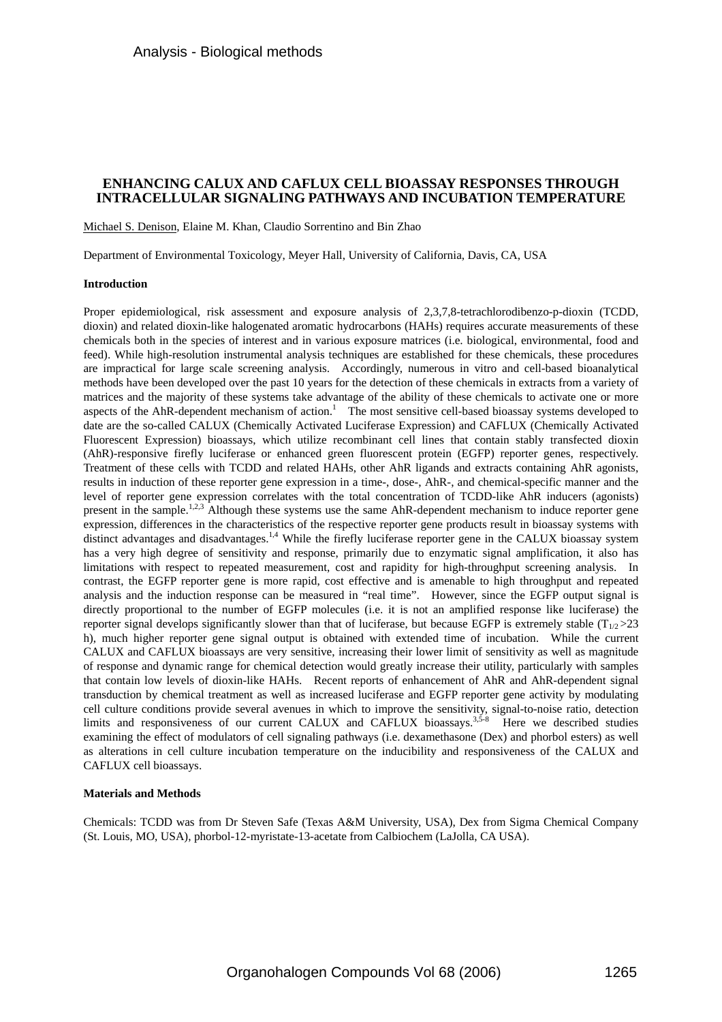# **ENHANCING CALUX AND CAFLUX CELL BIOASSAY RESPONSES THROUGH INTRACELLULAR SIGNALING PATHWAYS AND INCUBATION TEMPERATURE**

### Michael S. Denison, Elaine M. Khan, Claudio Sorrentino and Bin Zhao

Department of Environmental Toxicology, Meyer Hall, University of California, Davis, CA, USA

### **Introduction**

Proper epidemiological, risk assessment and exposure analysis of 2,3,7,8-tetrachlorodibenzo-p-dioxin (TCDD, dioxin) and related dioxin-like halogenated aromatic hydrocarbons (HAHs) requires accurate measurements of these chemicals both in the species of interest and in various exposure matrices (i.e. biological, environmental, food and feed). While high-resolution instrumental analysis techniques are established for these chemicals, these procedures are impractical for large scale screening analysis. Accordingly, numerous in vitro and cell-based bioanalytical methods have been developed over the past 10 years for the detection of these chemicals in extracts from a variety of matrices and the majority of these systems take advantage of the ability of these chemicals to activate one or more aspects of the AhR-dependent mechanism of action.<sup>1</sup> The most sensitive cell-based bioassay systems developed to date are the so-called CALUX (Chemically Activated Luciferase Expression) and CAFLUX (Chemically Activated Fluorescent Expression) bioassays, which utilize recombinant cell lines that contain stably transfected dioxin (AhR)-responsive firefly luciferase or enhanced green fluorescent protein (EGFP) reporter genes, respectively. Treatment of these cells with TCDD and related HAHs, other AhR ligands and extracts containing AhR agonists, results in induction of these reporter gene expression in a time-, dose-, AhR-, and chemical-specific manner and the level of reporter gene expression correlates with the total concentration of TCDD-like AhR inducers (agonists) present in the sample.<sup>1,2,3</sup> Although these systems use the same AhR-dependent mechanism to induce reporter gene expression, differences in the characteristics of the respective reporter gene products result in bioassay systems with distinct advantages and disadvantages.<sup>1,4</sup> While the firefly luciferase reporter gene in the CALUX bioassay system has a very high degree of sensitivity and response, primarily due to enzymatic signal amplification, it also has limitations with respect to repeated measurement, cost and rapidity for high-throughput screening analysis. In contrast, the EGFP reporter gene is more rapid, cost effective and is amenable to high throughput and repeated analysis and the induction response can be measured in "real time". However, since the EGFP output signal is directly proportional to the number of EGFP molecules (i.e. it is not an amplified response like luciferase) the reporter signal develops significantly slower than that of luciferase, but because EGFP is extremely stable  $(T_{1/2} > 23)$ h), much higher reporter gene signal output is obtained with extended time of incubation. While the current CALUX and CAFLUX bioassays are very sensitive, increasing their lower limit of sensitivity as well as magnitude of response and dynamic range for chemical detection would greatly increase their utility, particularly with samples that contain low levels of dioxin-like HAHs. Recent reports of enhancement of AhR and AhR-dependent signal transduction by chemical treatment as well as increased luciferase and EGFP reporter gene activity by modulating cell culture conditions provide several avenues in which to improve the sensitivity, signal-to-noise ratio, detection limits and responsiveness of our current CALUX and CAFLUX bioassays.<sup>3,5-8</sup> Here we described studies examining the effect of modulators of cell signaling pathways (i.e. dexamethasone (Dex) and phorbol esters) as well as alterations in cell culture incubation temperature on the inducibility and responsiveness of the CALUX and CAFLUX cell bioassays.

## **Materials and Methods**

Chemicals: TCDD was from Dr Steven Safe (Texas A&M University, USA), Dex from Sigma Chemical Company (St. Louis, MO, USA), phorbol-12-myristate-13-acetate from Calbiochem (LaJolla, CA USA).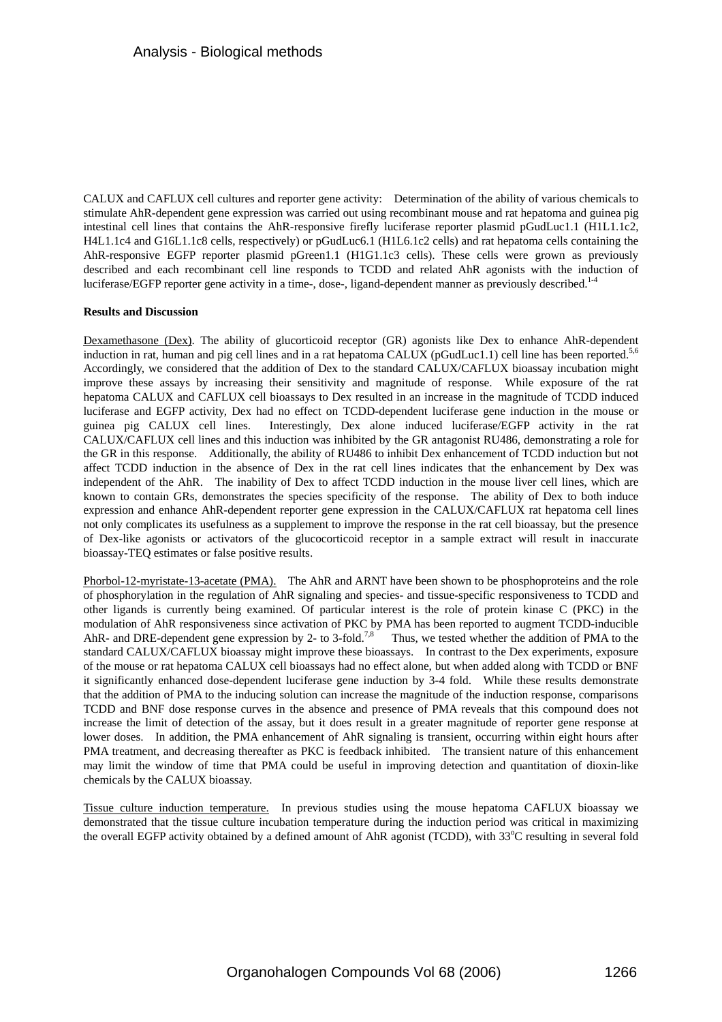CALUX and CAFLUX cell cultures and reporter gene activity: Determination of the ability of various chemicals to stimulate AhR-dependent gene expression was carried out using recombinant mouse and rat hepatoma and guinea pig intestinal cell lines that contains the AhR-responsive firefly luciferase reporter plasmid pGudLuc1.1 (H1L1.1c2, H4L1.1c4 and G16L1.1c8 cells, respectively) or pGudLuc6.1 (H1L6.1c2 cells) and rat hepatoma cells containing the AhR-responsive EGFP reporter plasmid pGreen1.1 (H1G1.1c3 cells). These cells were grown as previously described and each recombinant cell line responds to TCDD and related AhR agonists with the induction of luciferase/EGFP reporter gene activity in a time-, dose-, ligand-dependent manner as previously described.<sup>1-4</sup>

### **Results and Discussion**

Dexamethasone (Dex). The ability of glucorticoid receptor (GR) agonists like Dex to enhance AhR-dependent induction in rat, human and pig cell lines and in a rat hepatoma CALUX (pGudLuc1.1) cell line has been reported.<sup>5,6</sup> Accordingly, we considered that the addition of Dex to the standard CALUX/CAFLUX bioassay incubation might improve these assays by increasing their sensitivity and magnitude of response. While exposure of the rat hepatoma CALUX and CAFLUX cell bioassays to Dex resulted in an increase in the magnitude of TCDD induced luciferase and EGFP activity, Dex had no effect on TCDD-dependent luciferase gene induction in the mouse or guinea pig CALUX cell lines. Interestingly, Dex alone induced luciferase/EGFP activity in the rat CALUX/CAFLUX cell lines and this induction was inhibited by the GR antagonist RU486, demonstrating a role for the GR in this response. Additionally, the ability of RU486 to inhibit Dex enhancement of TCDD induction but not affect TCDD induction in the absence of Dex in the rat cell lines indicates that the enhancement by Dex was independent of the AhR. The inability of Dex to affect TCDD induction in the mouse liver cell lines, which are known to contain GRs, demonstrates the species specificity of the response. The ability of Dex to both induce expression and enhance AhR-dependent reporter gene expression in the CALUX/CAFLUX rat hepatoma cell lines not only complicates its usefulness as a supplement to improve the response in the rat cell bioassay, but the presence of Dex-like agonists or activators of the glucocorticoid receptor in a sample extract will result in inaccurate bioassay-TEQ estimates or false positive results.

Phorbol-12-myristate-13-acetate (PMA). The AhR and ARNT have been shown to be phosphoproteins and the role of phosphorylation in the regulation of AhR signaling and species- and tissue-specific responsiveness to TCDD and other ligands is currently being examined. Of particular interest is the role of protein kinase C (PKC) in the modulation of AhR responsiveness since activation of PKC by PMA has been reported to augment TCDD-inducible AhR- and DRE-dependent gene expression by 2- to 3-fold.<sup>7,8</sup> Thus, we tested whether the addition of PMA to the standard CALUX/CAFLUX bioassay might improve these bioassays. In contrast to the Dex experiments, exposure of the mouse or rat hepatoma CALUX cell bioassays had no effect alone, but when added along with TCDD or BNF it significantly enhanced dose-dependent luciferase gene induction by 3-4 fold. While these results demonstrate that the addition of PMA to the inducing solution can increase the magnitude of the induction response, comparisons TCDD and BNF dose response curves in the absence and presence of PMA reveals that this compound does not increase the limit of detection of the assay, but it does result in a greater magnitude of reporter gene response at lower doses. In addition, the PMA enhancement of AhR signaling is transient, occurring within eight hours after PMA treatment, and decreasing thereafter as PKC is feedback inhibited. The transient nature of this enhancement may limit the window of time that PMA could be useful in improving detection and quantitation of dioxin-like chemicals by the CALUX bioassay.

Tissue culture induction temperature. In previous studies using the mouse hepatoma CAFLUX bioassay we demonstrated that the tissue culture incubation temperature during the induction period was critical in maximizing the overall EGFP activity obtained by a defined amount of AhR agonist (TCDD), with 33°C resulting in several fold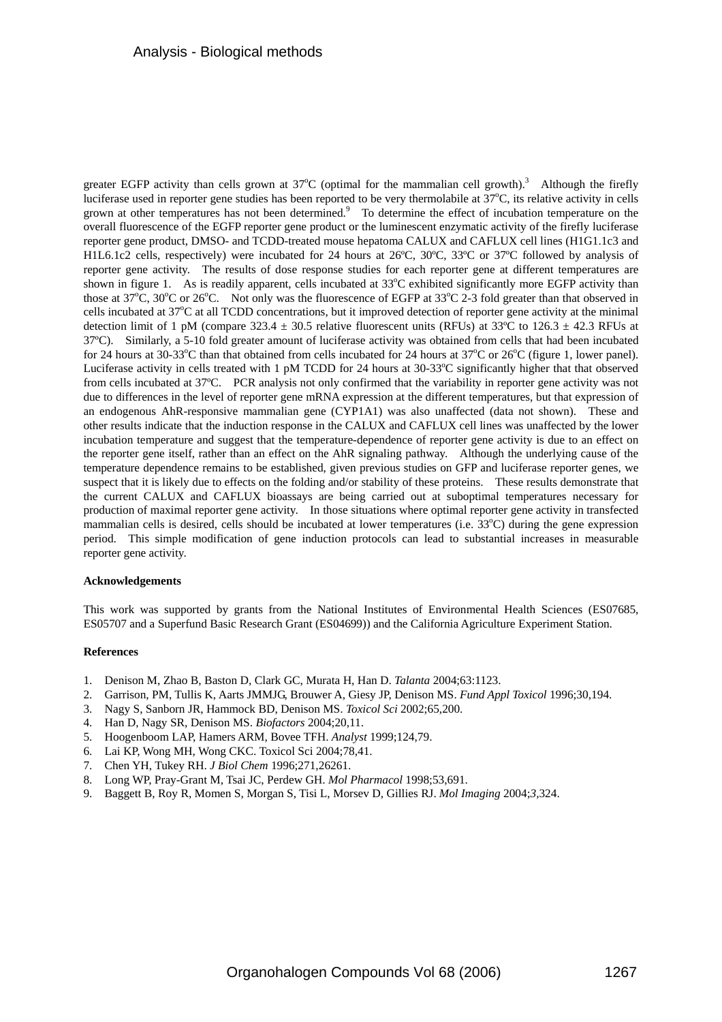greater EGFP activity than cells grown at  $37^{\circ}$ C (optimal for the mammalian cell growth).<sup>3</sup> Although the firefly luciferase used in reporter gene studies has been reported to be very thermolabile at 37°C, its relative activity in cells grown at other temperatures has not been determined.<sup>9</sup> To determine the effect of incubation temperature on the overall fluorescence of the EGFP reporter gene product or the luminescent enzymatic activity of the firefly luciferase reporter gene product, DMSO- and TCDD-treated mouse hepatoma CALUX and CAFLUX cell lines (H1G1.1c3 and H1L6.1c2 cells, respectively) were incubated for 24 hours at 26ºC, 30ºC, 33ºC or 37ºC followed by analysis of reporter gene activity. The results of dose response studies for each reporter gene at different temperatures are shown in figure 1. As is readily apparent, cells incubated at 33°C exhibited significantly more EGFP activity than those at  $37^{\circ}$ C,  $30^{\circ}$ C or  $26^{\circ}$ C. Not only was the fluorescence of EGFP at  $33^{\circ}$ C 2-3 fold greater than that observed in cells incubated at 37°C at all TCDD concentrations, but it improved detection of reporter gene activity at the minimal detection limit of 1 pM (compare 323.4  $\pm$  30.5 relative fluorescent units (RFUs) at 33°C to 126.3  $\pm$  42.3 RFUs at 37ºC). Similarly, a 5-10 fold greater amount of luciferase activity was obtained from cells that had been incubated for 24 hours at 30-33 $^{\circ}$ C than that obtained from cells incubated for 24 hours at 37 $^{\circ}$ C or 26 $^{\circ}$ C (figure 1, lower panel). Luciferase activity in cells treated with 1 pM TCDD for 24 hours at 30-33°C significantly higher that that observed from cells incubated at 37ºC. PCR analysis not only confirmed that the variability in reporter gene activity was not due to differences in the level of reporter gene mRNA expression at the different temperatures, but that expression of an endogenous AhR-responsive mammalian gene (CYP1A1) was also unaffected (data not shown). These and other results indicate that the induction response in the CALUX and CAFLUX cell lines was unaffected by the lower incubation temperature and suggest that the temperature-dependence of reporter gene activity is due to an effect on the reporter gene itself, rather than an effect on the AhR signaling pathway. Although the underlying cause of the temperature dependence remains to be established, given previous studies on GFP and luciferase reporter genes, we suspect that it is likely due to effects on the folding and/or stability of these proteins. These results demonstrate that the current CALUX and CAFLUX bioassays are being carried out at suboptimal temperatures necessary for production of maximal reporter gene activity. In those situations where optimal reporter gene activity in transfected mammalian cells is desired, cells should be incubated at lower temperatures (i.e. 33°C) during the gene expression period. This simple modification of gene induction protocols can lead to substantial increases in measurable reporter gene activity.

### **Acknowledgements**

This work was supported by grants from the National Institutes of Environmental Health Sciences (ES07685, ES05707 and a Superfund Basic Research Grant (ES04699)) and the California Agriculture Experiment Station.

### **References**

- 1. Denison M, Zhao B, Baston D, Clark GC, Murata H, Han D. *Talanta* 2004;63:1123.
- 2. Garrison, PM, Tullis K, Aarts JMMJG, Brouwer A, Giesy JP, Denison MS. *Fund Appl Toxicol* 1996;30,194.
- 3. Nagy S, Sanborn JR, Hammock BD, Denison MS. *Toxicol Sci* 2002;65,200.
- 4. Han D, Nagy SR, Denison MS. *Biofactors* 2004;20,11.
- 5. Hoogenboom LAP, Hamers ARM, Bovee TFH. *Analyst* 1999;124,79.
- 6. Lai KP, Wong MH, Wong CKC. Toxicol Sci 2004;78,41.
- 7. Chen YH, Tukey RH. *J Biol Chem* 1996;271,26261.
- 8. Long WP, Pray-Grant M, Tsai JC, Perdew GH. *Mol Pharmacol* 1998;53,691.
- 9. Baggett B, Roy R, Momen S, Morgan S, Tisi L, Morsev D, Gillies RJ. *Mol Imaging* 2004;*3,*324.